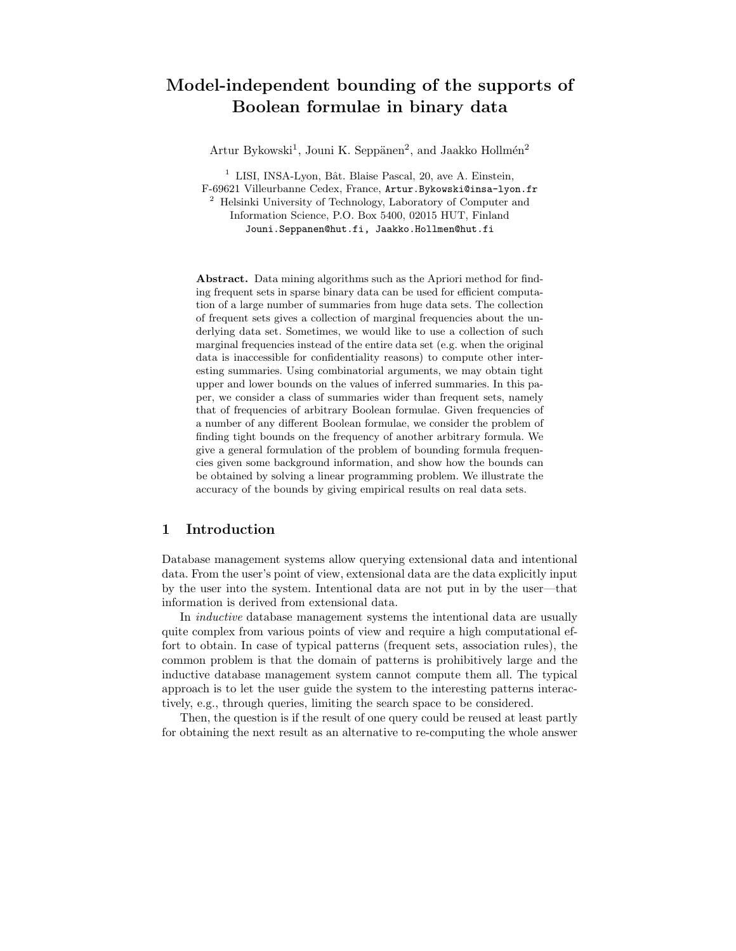# Model-independent bounding of the supports of Boolean formulae in binary data

Artur Bykowski<sup>1</sup>, Jouni K. Seppänen<sup>2</sup>, and Jaakko Hollmén<sup>2</sup>

<sup>1</sup> LISI, INSA-Lyon, Bât. Blaise Pascal, 20, ave A. Einstein, F-69621 Villeurbanne Cedex, France, Artur.Bykowski@insa-lyon.fr <sup>2</sup> Helsinki University of Technology, Laboratory of Computer and Information Science, P.O. Box 5400, 02015 HUT, Finland Jouni.Seppanen@hut.fi, Jaakko.Hollmen@hut.fi

Abstract. Data mining algorithms such as the Apriori method for finding frequent sets in sparse binary data can be used for efficient computation of a large number of summaries from huge data sets. The collection of frequent sets gives a collection of marginal frequencies about the underlying data set. Sometimes, we would like to use a collection of such marginal frequencies instead of the entire data set (e.g. when the original data is inaccessible for confidentiality reasons) to compute other interesting summaries. Using combinatorial arguments, we may obtain tight upper and lower bounds on the values of inferred summaries. In this paper, we consider a class of summaries wider than frequent sets, namely that of frequencies of arbitrary Boolean formulae. Given frequencies of a number of any different Boolean formulae, we consider the problem of finding tight bounds on the frequency of another arbitrary formula. We give a general formulation of the problem of bounding formula frequencies given some background information, and show how the bounds can be obtained by solving a linear programming problem. We illustrate the accuracy of the bounds by giving empirical results on real data sets.

# 1 Introduction

Database management systems allow querying extensional data and intentional data. From the user's point of view, extensional data are the data explicitly input by the user into the system. Intentional data are not put in by the user—that information is derived from extensional data.

In inductive database management systems the intentional data are usually quite complex from various points of view and require a high computational effort to obtain. In case of typical patterns (frequent sets, association rules), the common problem is that the domain of patterns is prohibitively large and the inductive database management system cannot compute them all. The typical approach is to let the user guide the system to the interesting patterns interactively, e.g., through queries, limiting the search space to be considered.

Then, the question is if the result of one query could be reused at least partly for obtaining the next result as an alternative to re-computing the whole answer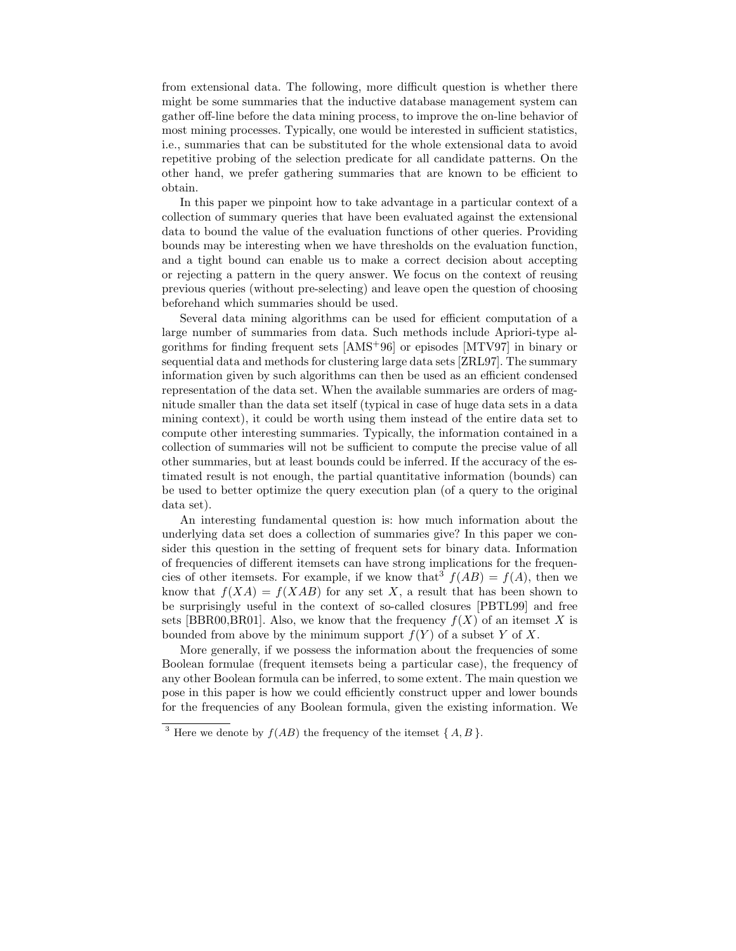from extensional data. The following, more difficult question is whether there might be some summaries that the inductive database management system can gather off-line before the data mining process, to improve the on-line behavior of most mining processes. Typically, one would be interested in sufficient statistics, i.e., summaries that can be substituted for the whole extensional data to avoid repetitive probing of the selection predicate for all candidate patterns. On the other hand, we prefer gathering summaries that are known to be efficient to obtain.

In this paper we pinpoint how to take advantage in a particular context of a collection of summary queries that have been evaluated against the extensional data to bound the value of the evaluation functions of other queries. Providing bounds may be interesting when we have thresholds on the evaluation function, and a tight bound can enable us to make a correct decision about accepting or rejecting a pattern in the query answer. We focus on the context of reusing previous queries (without pre-selecting) and leave open the question of choosing beforehand which summaries should be used.

Several data mining algorithms can be used for efficient computation of a large number of summaries from data. Such methods include Apriori-type algorithms for finding frequent sets [AMS<sup>+</sup>96] or episodes [MTV97] in binary or sequential data and methods for clustering large data sets [ZRL97]. The summary information given by such algorithms can then be used as an efficient condensed representation of the data set. When the available summaries are orders of magnitude smaller than the data set itself (typical in case of huge data sets in a data mining context), it could be worth using them instead of the entire data set to compute other interesting summaries. Typically, the information contained in a collection of summaries will not be sufficient to compute the precise value of all other summaries, but at least bounds could be inferred. If the accuracy of the estimated result is not enough, the partial quantitative information (bounds) can be used to better optimize the query execution plan (of a query to the original data set).

An interesting fundamental question is: how much information about the underlying data set does a collection of summaries give? In this paper we consider this question in the setting of frequent sets for binary data. Information of frequencies of different itemsets can have strong implications for the frequencies of other itemsets. For example, if we know that  $f(AB) = f(A)$ , then we know that  $f(XA) = f(XAB)$  for any set X, a result that has been shown to be surprisingly useful in the context of so-called closures [PBTL99] and free sets [BBR00,BR01]. Also, we know that the frequency  $f(X)$  of an itemset X is bounded from above by the minimum support  $f(Y)$  of a subset Y of X.

More generally, if we possess the information about the frequencies of some Boolean formulae (frequent itemsets being a particular case), the frequency of any other Boolean formula can be inferred, to some extent. The main question we pose in this paper is how we could efficiently construct upper and lower bounds for the frequencies of any Boolean formula, given the existing information. We

<sup>&</sup>lt;sup>3</sup> Here we denote by  $f(AB)$  the frequency of the itemset  $\{A, B\}$ .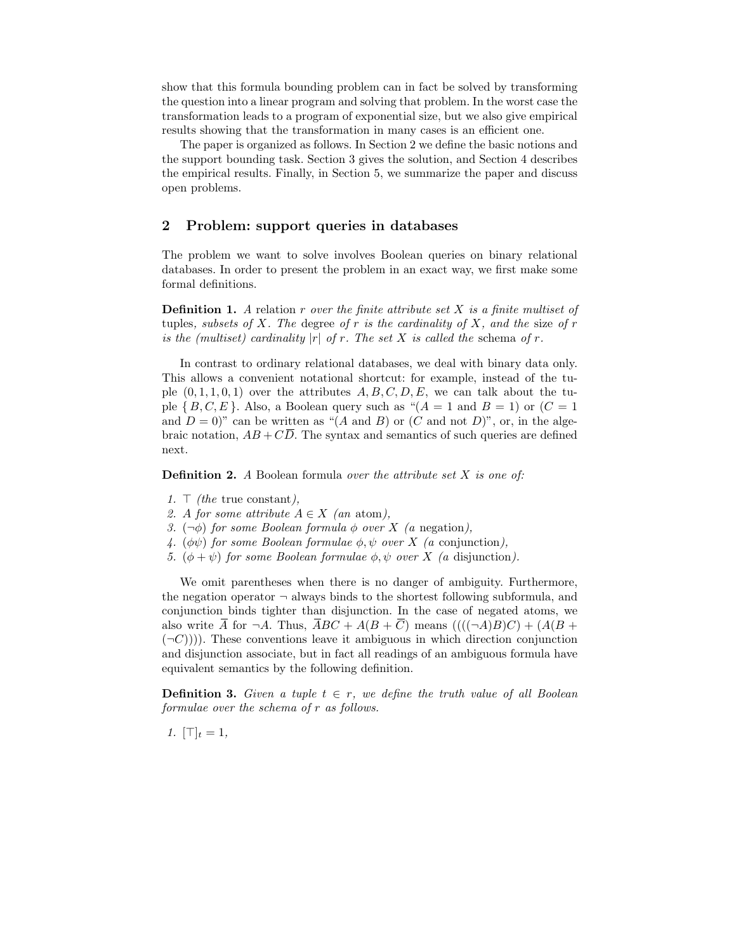show that this formula bounding problem can in fact be solved by transforming the question into a linear program and solving that problem. In the worst case the transformation leads to a program of exponential size, but we also give empirical results showing that the transformation in many cases is an efficient one.

The paper is organized as follows. In Section 2 we define the basic notions and the support bounding task. Section 3 gives the solution, and Section 4 describes the empirical results. Finally, in Section 5, we summarize the paper and discuss open problems.

# 2 Problem: support queries in databases

The problem we want to solve involves Boolean queries on binary relational databases. In order to present the problem in an exact way, we first make some formal definitions.

**Definition 1.** A relation r over the finite attribute set  $X$  is a finite multiset of tuples, subsets of X. The degree of r is the cardinality of X, and the size of  $r$ is the (multiset) cardinality |r| of r. The set X is called the schema of r.

In contrast to ordinary relational databases, we deal with binary data only. This allows a convenient notational shortcut: for example, instead of the tuple  $(0, 1, 1, 0, 1)$  over the attributes  $A, B, C, D, E$ , we can talk about the tuple  ${B, C, E}$ . Also, a Boolean query such as " $(A = 1 \text{ and } B = 1)$  or  $(C = 1$ and  $D = 0$ )" can be written as "(A and B) or (C and not D)", or, in the algebraic notation,  $AB + C\overline{D}$ . The syntax and semantics of such queries are defined next.

**Definition 2.** A Boolean formula over the attribute set  $X$  is one of:

- 1.  $\top$  (the true constant),
- 2. A for some attribute  $A \in X$  (an atom),
- 3. ( $\neg \phi$ ) for some Boolean formula  $\phi$  over X (a negation),
- 4. (φψ) for some Boolean formulae  $\phi, \psi$  over X (a conjunction),
- 5.  $(\phi + \psi)$  for some Boolean formulae  $\phi, \psi$  over X (a disjunction).

We omit parentheses when there is no danger of ambiguity. Furthermore, the negation operator  $\neg$  always binds to the shortest following subformula, and conjunction binds tighter than disjunction. In the case of negated atoms, we also write  $\overline{A}$  for  $\neg A$ . Thus,  $\overline{A}BC + A(B + \overline{C})$  means  $(((\neg A)B)C) + (A(B +$  $(\neg C))$ ). These conventions leave it ambiguous in which direction conjunction and disjunction associate, but in fact all readings of an ambiguous formula have equivalent semantics by the following definition.

**Definition 3.** Given a tuple  $t \in r$ , we define the truth value of all Boolean formulae over the schema of r as follows.

1.  $[\top]_t = 1$ ,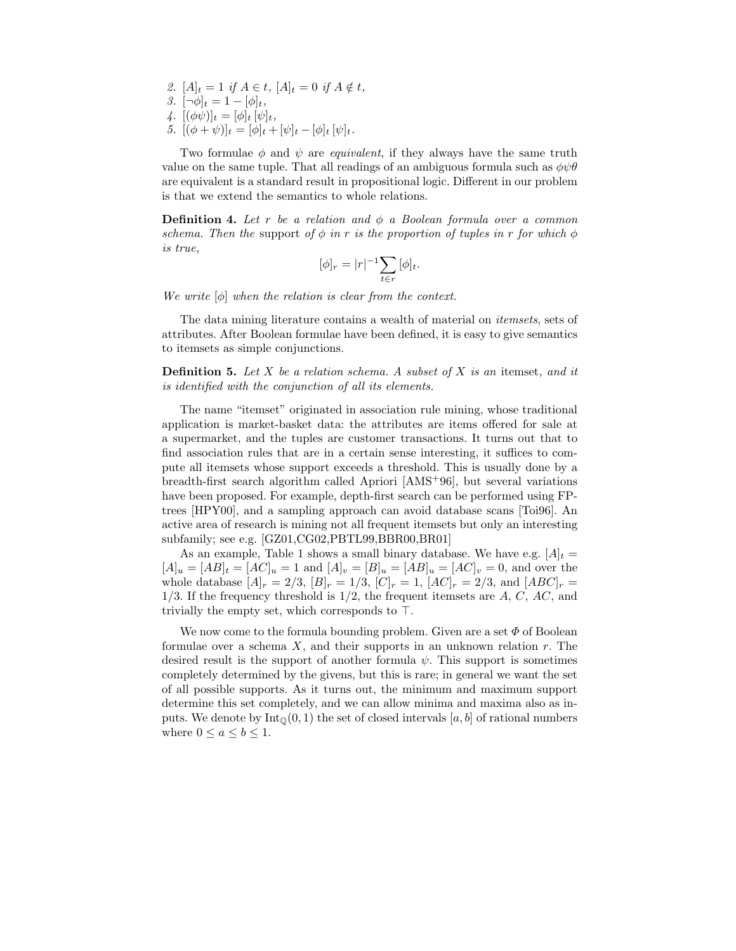2.  $[A]_t = 1$  if  $A \in t$ ,  $[A]_t = 0$  if  $A \notin t$ , 3.  $[\neg \phi]_t = 1 - [\phi]_t$ , 4.  $[(\phi \psi)]_t = [\phi]_t [\psi]_t,$ 5.  $[(\phi + \psi)]_t = [\phi]_t + [\psi]_t - [\phi]_t [\psi]_t.$ 

Two formulae  $\phi$  and  $\psi$  are *equivalent*, if they always have the same truth value on the same tuple. That all readings of an ambiguous formula such as  $\phi \psi \theta$ are equivalent is a standard result in propositional logic. Different in our problem is that we extend the semantics to whole relations.

**Definition 4.** Let r be a relation and  $\phi$  a Boolean formula over a common schema. Then the support of  $\phi$  in r is the proportion of tuples in r for which  $\phi$ is true,

$$
[\phi]_r = |r|^{-1} \sum_{t \in r} [\phi]_t.
$$

We write  $[\phi]$  when the relation is clear from the context.

The data mining literature contains a wealth of material on itemsets, sets of attributes. After Boolean formulae have been defined, it is easy to give semantics to itemsets as simple conjunctions.

**Definition 5.** Let  $X$  be a relation schema. A subset of  $X$  is an itemset, and it is identified with the conjunction of all its elements.

The name "itemset" originated in association rule mining, whose traditional application is market-basket data: the attributes are items offered for sale at a supermarket, and the tuples are customer transactions. It turns out that to find association rules that are in a certain sense interesting, it suffices to compute all itemsets whose support exceeds a threshold. This is usually done by a breadth-first search algorithm called Apriori [AMS<sup>+</sup>96], but several variations have been proposed. For example, depth-first search can be performed using FPtrees [HPY00], and a sampling approach can avoid database scans [Toi96]. An active area of research is mining not all frequent itemsets but only an interesting subfamily; see e.g. [GZ01,CG02,PBTL99,BBR00,BR01]

As an example, Table 1 shows a small binary database. We have e.g.  $[A]_t =$  $[A]_u = [AB]_t = [AC]_u = 1$  and  $[A]_v = [B]_u = [AB]_u = [AC]_v = 0$ , and over the whole database  $[A]_r = 2/3$ ,  $[B]_r = 1/3$ ,  $[C]_r = 1$ ,  $[AC]_r = 2/3$ , and  $[ABC]_r =$  $1/3$ . If the frequency threshold is  $1/2$ , the frequent itemsets are A, C, AC, and trivially the empty set, which corresponds to  $\top$ .

We now come to the formula bounding problem. Given are a set  $\Phi$  of Boolean formulae over a schema  $X$ , and their supports in an unknown relation  $r$ . The desired result is the support of another formula  $\psi$ . This support is sometimes completely determined by the givens, but this is rare; in general we want the set of all possible supports. As it turns out, the minimum and maximum support determine this set completely, and we can allow minima and maxima also as inputs. We denote by  $\text{Int}_{\mathbb{Q}}(0,1)$  the set of closed intervals  $[a, b]$  of rational numbers where  $0 \le a \le b \le 1$ .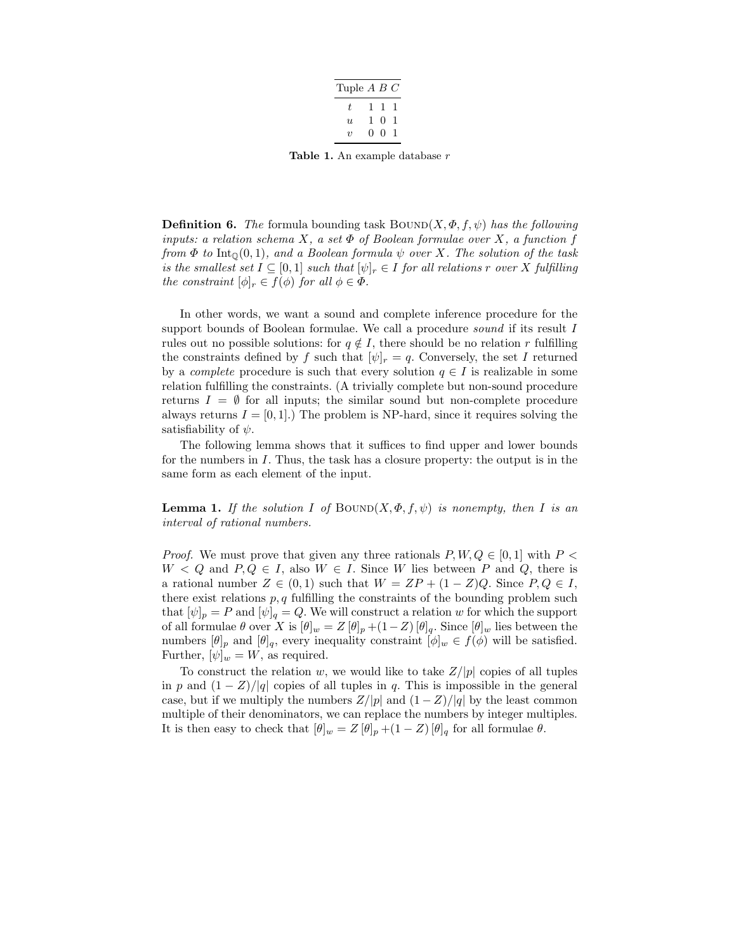| Tuple $A \, B \, C$ |    |     |  |
|---------------------|----|-----|--|
| t.                  |    | 111 |  |
| $\boldsymbol{\eta}$ | T. | 0   |  |
| $\eta$              |    | 0   |  |

Table 1. An example database  $r$ 

**Definition 6.** The formula bounding task  $BOUND(X, \Phi, f, \psi)$  has the following inputs: a relation schema X, a set  $\Phi$  of Boolean formulae over X, a function f from  $\Phi$  to Int<sub>0</sub>(0,1), and a Boolean formula  $\psi$  over X. The solution of the task is the smallest set  $I \subseteq [0,1]$  such that  $[\psi]_r \in I$  for all relations r over X fulfilling the constraint  $[\phi]_r \in f(\phi)$  for all  $\phi \in \Phi$ .

In other words, we want a sound and complete inference procedure for the support bounds of Boolean formulae. We call a procedure *sound* if its result I rules out no possible solutions: for  $q \notin I$ , there should be no relation r fulfilling the constraints defined by f such that  $[\psi]_r = q$ . Conversely, the set I returned by a *complete* procedure is such that every solution  $q \in I$  is realizable in some relation fulfilling the constraints. (A trivially complete but non-sound procedure returns  $I = \emptyset$  for all inputs; the similar sound but non-complete procedure always returns  $I = [0, 1]$ .) The problem is NP-hard, since it requires solving the satisfiability of  $\psi$ .

The following lemma shows that it suffices to find upper and lower bounds for the numbers in  $I$ . Thus, the task has a closure property: the output is in the same form as each element of the input.

**Lemma 1.** If the solution I of  $BOUND(X, \Phi, f, \psi)$  is nonempty, then I is an interval of rational numbers.

*Proof.* We must prove that given any three rationals  $P, W, Q \in [0, 1]$  with  $P \lt \mathbb{R}$  $W < Q$  and  $P, Q \in I$ , also  $W \in I$ . Since W lies between P and Q, there is a rational number  $Z \in (0,1)$  such that  $W = ZP + (1 - Z)Q$ . Since  $P, Q \in I$ , there exist relations  $p, q$  fulfilling the constraints of the bounding problem such that  $[\psi]_p = P$  and  $[\psi]_q = Q$ . We will construct a relation w for which the support of all formulae  $\theta$  over X is  $[\theta]_w = Z[\theta]_p + (1-Z) [\theta]_q$ . Since  $[\theta]_w$  lies between the numbers  $[\theta]_p$  and  $[\theta]_q$ , every inequality constraint  $[\phi]_w \in f(\phi)$  will be satisfied. Further,  $[\psi]_w = W$ , as required.

To construct the relation w, we would like to take  $Z/|p|$  copies of all tuples in p and  $(1 - Z)/|q|$  copies of all tuples in q. This is impossible in the general case, but if we multiply the numbers  $Z/|p|$  and  $(1 - Z)/|q|$  by the least common multiple of their denominators, we can replace the numbers by integer multiples. It is then easy to check that  $[\theta]_w = Z[\theta]_p + (1 - Z)[\theta]_q$  for all formulae  $\theta$ .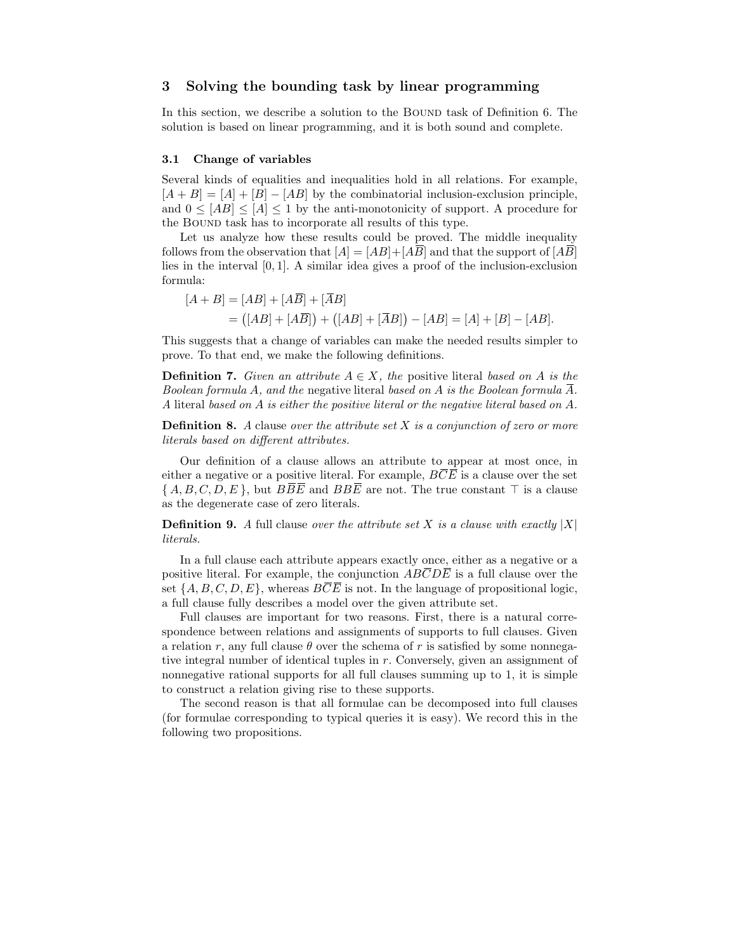# 3 Solving the bounding task by linear programming

In this section, we describe a solution to the BOUND task of Definition 6. The solution is based on linear programming, and it is both sound and complete.

## 3.1 Change of variables

Several kinds of equalities and inequalities hold in all relations. For example,  $[A + B] = [A] + [B] - [AB]$  by the combinatorial inclusion-exclusion principle, and  $0 \leq [AB] \leq [A] \leq 1$  by the anti-monotonicity of support. A procedure for the BOUND task has to incorporate all results of this type.

Let us analyze how these results could be proved. The middle inequality follows from the observation that  $[A] = [AB] + [A\overline{B}]$  and that the support of  $[\overline{AB}]$ lies in the interval  $[0, 1]$ . A similar idea gives a proof of the inclusion-exclusion formula:

$$
[A + B] = [AB] + [A\overline{B}] + [\overline{A}B]
$$
  
= ([AB] + [A\overline{B}]) + ([AB] + [\overline{A}B]) - [AB] = [A] + [B] - [AB].

This suggests that a change of variables can make the needed results simpler to prove. To that end, we make the following definitions.

**Definition 7.** Given an attribute  $A \in X$ , the positive literal based on A is the Boolean formula A, and the negative literal based on A is the Boolean formula  $\overline{A}$ . A literal based on A is either the positive literal or the negative literal based on A.

**Definition 8.** A clause over the attribute set  $X$  is a conjunction of zero or more literals based on different attributes.

Our definition of a clause allows an attribute to appear at most once, in either a negative or a positive literal. For example,  $B\overline{C}\overline{E}$  is a clause over the set  $\{A, B, C, D, E\}$ , but  $B\overline{B}\overline{E}$  and  $B B\overline{E}$  are not. The true constant  $\top$  is a clause as the degenerate case of zero literals.

**Definition 9.** A full clause over the attribute set X is a clause with exactly  $|X|$ literals.

In a full clause each attribute appears exactly once, either as a negative or a positive literal. For example, the conjunction  $AB\overline{C}DE$  is a full clause over the set  $\{A, B, C, D, E\}$ , whereas  $B\overline{C}\overline{E}$  is not. In the language of propositional logic, a full clause fully describes a model over the given attribute set.

Full clauses are important for two reasons. First, there is a natural correspondence between relations and assignments of supports to full clauses. Given a relation r, any full clause  $\theta$  over the schema of r is satisfied by some nonnegative integral number of identical tuples in r. Conversely, given an assignment of nonnegative rational supports for all full clauses summing up to 1, it is simple to construct a relation giving rise to these supports.

The second reason is that all formulae can be decomposed into full clauses (for formulae corresponding to typical queries it is easy). We record this in the following two propositions.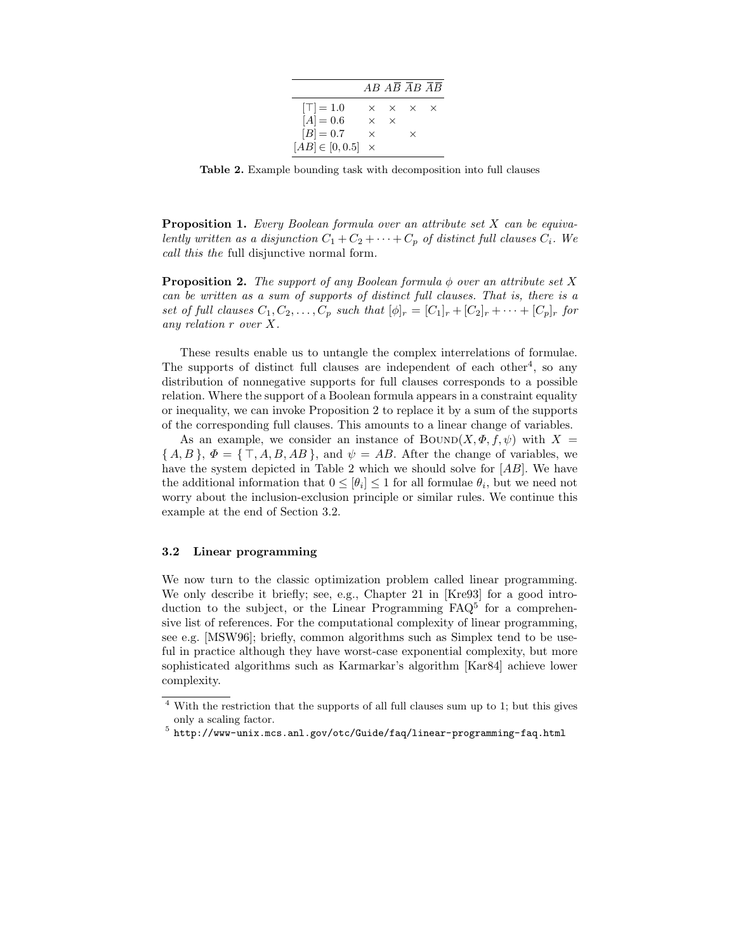|                     |          | AB AB AB AB       |          |              |
|---------------------|----------|-------------------|----------|--------------|
| $[\top] = 1.0$      | $\times$ | $\times$ $\times$ |          | $\mathsf{X}$ |
| $[A] = 0.6$         | $\times$ | $\times$          |          |              |
| $[B] = 0.7$         | $\times$ |                   | $\times$ |              |
| $[AB] \in [0, 0.5]$ | $\times$ |                   |          |              |

Table 2. Example bounding task with decomposition into full clauses

**Proposition 1.** Every Boolean formula over an attribute set  $X$  can be equivalently written as a disjunction  $C_1 + C_2 + \cdots + C_n$  of distinct full clauses  $C_i$ . We call this the full disjunctive normal form.

**Proposition 2.** The support of any Boolean formula  $\phi$  over an attribute set X can be written as a sum of supports of distinct full clauses. That is, there is a set of full clauses  $C_1, C_2, \ldots, C_p$  such that  $[\phi]_r = [C_1]_r + [C_2]_r + \cdots + [C_p]_r$  for any relation r over X.

These results enable us to untangle the complex interrelations of formulae. The supports of distinct full clauses are independent of each other<sup>4</sup>, so any distribution of nonnegative supports for full clauses corresponds to a possible relation. Where the support of a Boolean formula appears in a constraint equality or inequality, we can invoke Proposition 2 to replace it by a sum of the supports of the corresponding full clauses. This amounts to a linear change of variables.

As an example, we consider an instance of  $\text{BOUND}(X, \Phi, f, \psi)$  with  $X =$  ${A, B}, \Phi = {\text{I}, A, B, AB}, \text{ and } \psi = AB.$  After the change of variables, we have the system depicted in Table 2 which we should solve for [AB]. We have the additional information that  $0 \leq [\theta_i] \leq 1$  for all formulae  $\theta_i$ , but we need not worry about the inclusion-exclusion principle or similar rules. We continue this example at the end of Section 3.2.

## 3.2 Linear programming

We now turn to the classic optimization problem called linear programming. We only describe it briefly; see, e.g., Chapter 21 in [Kre93] for a good introduction to the subject, or the Linear Programming  $\text{FAQ}^5$  for a comprehensive list of references. For the computational complexity of linear programming, see e.g. [MSW96]; briefly, common algorithms such as Simplex tend to be useful in practice although they have worst-case exponential complexity, but more sophisticated algorithms such as Karmarkar's algorithm [Kar84] achieve lower complexity.

<sup>4</sup> With the restriction that the supports of all full clauses sum up to 1; but this gives only a scaling factor.

<sup>5</sup> http://www-unix.mcs.anl.gov/otc/Guide/faq/linear-programming-faq.html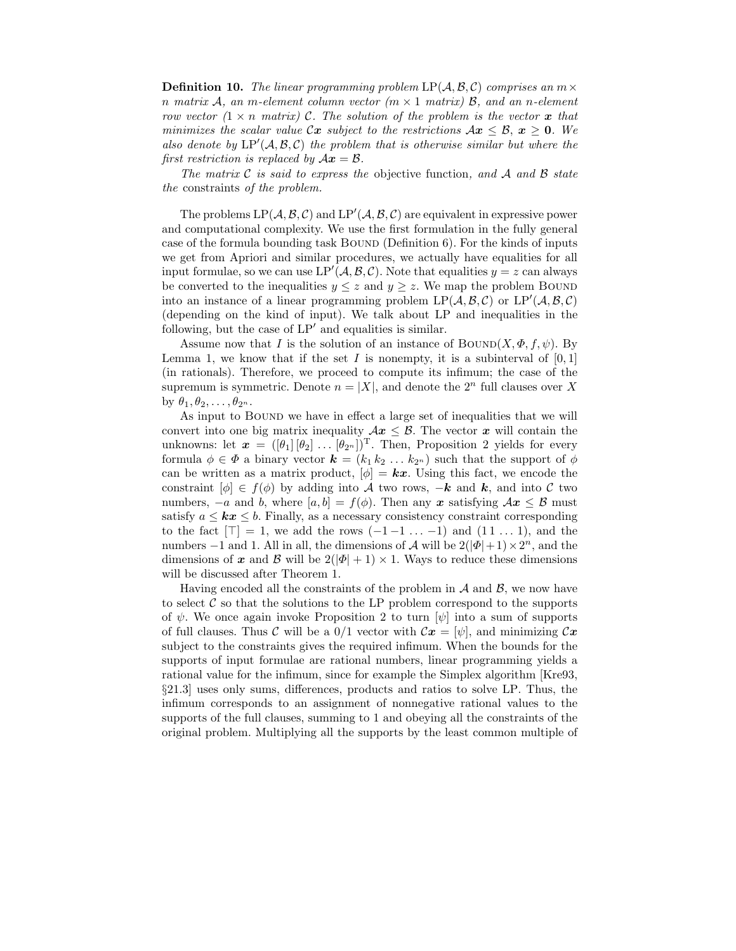**Definition 10.** The linear programming problem LP( $A, B, C$ ) comprises an  $m \times$ n matrix A, an m-element column vector  $(m \times 1$  matrix) B, and an n-element row vector  $(1 \times n$  matrix) C. The solution of the problem is the vector x that minimizes the scalar value  $\mathcal{C}x$  subject to the restrictions  $\mathcal{A}x \leq \mathcal{B}, x \geq 0$ . We also denote by  $LP'(\mathcal{A}, \mathcal{B}, \mathcal{C})$  the problem that is otherwise similar but where the first restriction is replaced by  $Ax = B$ .

The matrix  $\cal C$  is said to express the objective function, and  $\cal A$  and  $\cal B$  state the constraints of the problem.

The problems  $LP(\mathcal{A}, \mathcal{B}, \mathcal{C})$  and  $LP'(\mathcal{A}, \mathcal{B}, \mathcal{C})$  are equivalent in expressive power and computational complexity. We use the first formulation in the fully general case of the formula bounding task BOUND (Definition  $6$ ). For the kinds of inputs we get from Apriori and similar procedures, we actually have equalities for all input formulae, so we can use  $LP'(\mathcal{A}, \mathcal{B}, \mathcal{C})$ . Note that equalities  $y = z$  can always be converted to the inequalities  $y \leq z$  and  $y \geq z$ . We map the problem BOUND into an instance of a linear programming problem  $LP(\mathcal{A}, \mathcal{B}, \mathcal{C})$  or  $LP'(\mathcal{A}, \mathcal{B}, \mathcal{C})$ (depending on the kind of input). We talk about LP and inequalities in the following, but the case of  $LP'$  and equalities is similar.

Assume now that I is the solution of an instance of  $\text{BOUND}(X, \Phi, f, \psi)$ . By Lemma 1, we know that if the set I is nonempty, it is a subinterval of  $[0,1]$ (in rationals). Therefore, we proceed to compute its infimum; the case of the supremum is symmetric. Denote  $n = |X|$ , and denote the  $2^n$  full clauses over X by  $\theta_1, \theta_2, \ldots, \theta_{2^n}$ .

As input to BOUND we have in effect a large set of inequalities that we will convert into one big matrix inequality  $Ax \leq \mathcal{B}$ . The vector x will contain the unknowns: let  $\mathbf{x} = ([\theta_1][\theta_2] \dots [\theta_{2^n}])^T$ . Then, Proposition 2 yields for every formula  $\phi \in \Phi$  a binary vector  $\mathbf{k} = (k_1 k_2 \dots k_{2^n})$  such that the support of  $\phi$ can be written as a matrix product,  $[\phi] = kx$ . Using this fact, we encode the constraint  $[\phi] \in f(\phi)$  by adding into A two rows,  $-k$  and  $k$ , and into C two numbers,  $-a$  and b, where  $[a, b] = f(\phi)$ . Then any x satisfying  $Ax \leq B$  must satisfy  $a \le kx \le b$ . Finally, as a necessary consistency constraint corresponding to the fact  $|\top| = 1$ , we add the rows  $(-1 - 1 \ldots - 1)$  and  $(1 1 \ldots 1)$ , and the numbers  $-1$  and 1. All in all, the dimensions of  $\mathcal A$  will be  $2(|\Phi|+1) \times 2^n$ , and the dimensions of x and B will be  $2(|\Phi|+1) \times 1$ . Ways to reduce these dimensions will be discussed after Theorem 1.

Having encoded all the constraints of the problem in  $A$  and  $B$ , we now have to select  $\mathcal C$  so that the solutions to the LP problem correspond to the supports of  $\psi$ . We once again invoke Proposition 2 to turn  $[\psi]$  into a sum of supports of full clauses. Thus C will be a  $0/1$  vector with  $\mathcal{C}x = [\psi]$ , and minimizing  $\mathcal{C}x$ subject to the constraints gives the required infimum. When the bounds for the supports of input formulae are rational numbers, linear programming yields a rational value for the infimum, since for example the Simplex algorithm [Kre93, §21.3] uses only sums, differences, products and ratios to solve LP. Thus, the infimum corresponds to an assignment of nonnegative rational values to the supports of the full clauses, summing to 1 and obeying all the constraints of the original problem. Multiplying all the supports by the least common multiple of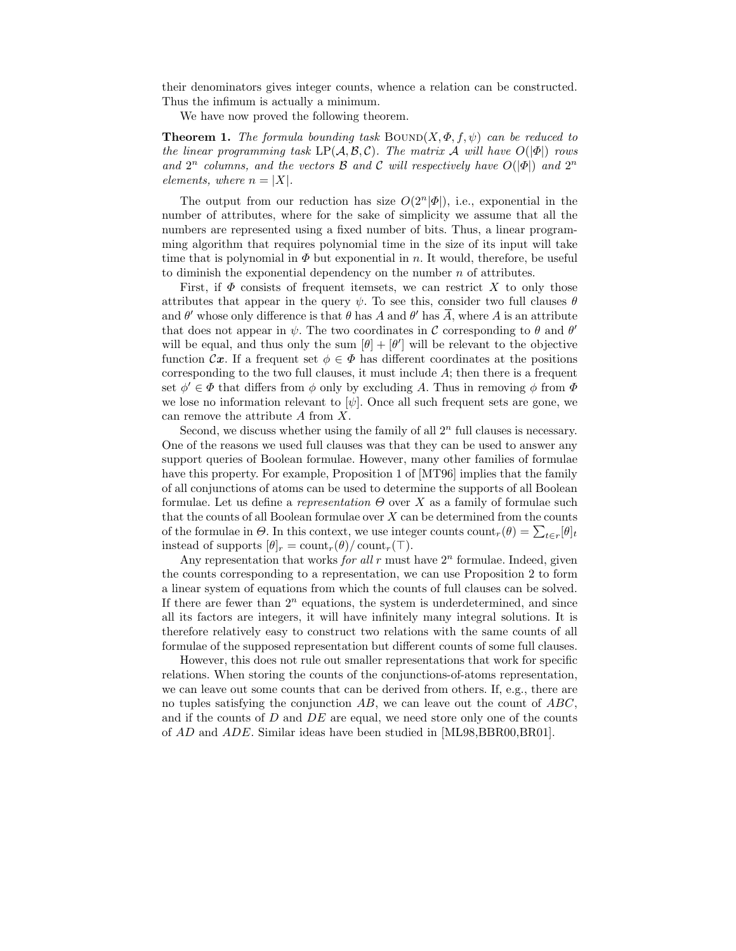their denominators gives integer counts, whence a relation can be constructed. Thus the infimum is actually a minimum.

We have now proved the following theorem.

**Theorem 1.** The formula bounding task  $BOUND(X, \Phi, f, \psi)$  can be reduced to the linear programming task  $LP(A, \mathcal{B}, \mathcal{C})$ . The matrix A will have  $O(|\Phi|)$  rows and  $2^n$  columns, and the vectors B and C will respectively have  $O(|\Phi|)$  and  $2^n$ elements, where  $n = |X|$ .

The output from our reduction has size  $O(2<sup>n</sup>|\phi|)$ , i.e., exponential in the number of attributes, where for the sake of simplicity we assume that all the numbers are represented using a fixed number of bits. Thus, a linear programming algorithm that requires polynomial time in the size of its input will take time that is polynomial in  $\Phi$  but exponential in n. It would, therefore, be useful to diminish the exponential dependency on the number  $n$  of attributes.

First, if  $\Phi$  consists of frequent itemsets, we can restrict X to only those attributes that appear in the query  $\psi$ . To see this, consider two full clauses  $\theta$ and  $\theta'$  whose only difference is that  $\theta$  has A and  $\theta'$  has  $\overline{A}$ , where A is an attribute that does not appear in  $\psi$ . The two coordinates in C corresponding to  $\theta$  and  $\theta'$ will be equal, and thus only the sum  $[\theta] + [\theta']$  will be relevant to the objective function  $\mathcal{C}x$ . If a frequent set  $\phi \in \Phi$  has different coordinates at the positions corresponding to the two full clauses, it must include  $A$ ; then there is a frequent set  $\phi' \in \Phi$  that differs from  $\phi$  only by excluding A. Thus in removing  $\phi$  from  $\Phi$ we lose no information relevant to  $[\psi]$ . Once all such frequent sets are gone, we can remove the attribute  $A$  from  $X$ .

Second, we discuss whether using the family of all  $2<sup>n</sup>$  full clauses is necessary. One of the reasons we used full clauses was that they can be used to answer any support queries of Boolean formulae. However, many other families of formulae have this property. For example, Proposition 1 of [MT96] implies that the family of all conjunctions of atoms can be used to determine the supports of all Boolean formulae. Let us define a *representation*  $\Theta$  over X as a family of formulae such that the counts of all Boolean formulae over  $X$  can be determined from the counts of the formulae in  $\Theta$ . In this context, we use integer counts  $\text{count}_r(\theta) = \sum_{t \in r} [\theta]_t$ instead of supports  $[\theta]_r = \text{count}_r(\theta)/\text{count}_r(\top)$ .

Any representation that works *for all r* must have  $2<sup>n</sup>$  formulae. Indeed, given the counts corresponding to a representation, we can use Proposition 2 to form a linear system of equations from which the counts of full clauses can be solved. If there are fewer than  $2^n$  equations, the system is underdetermined, and since all its factors are integers, it will have infinitely many integral solutions. It is therefore relatively easy to construct two relations with the same counts of all formulae of the supposed representation but different counts of some full clauses.

However, this does not rule out smaller representations that work for specific relations. When storing the counts of the conjunctions-of-atoms representation, we can leave out some counts that can be derived from others. If, e.g., there are no tuples satisfying the conjunction  $AB$ , we can leave out the count of  $ABC$ . and if the counts of  $D$  and  $DE$  are equal, we need store only one of the counts of AD and ADE. Similar ideas have been studied in [ML98,BBR00,BR01].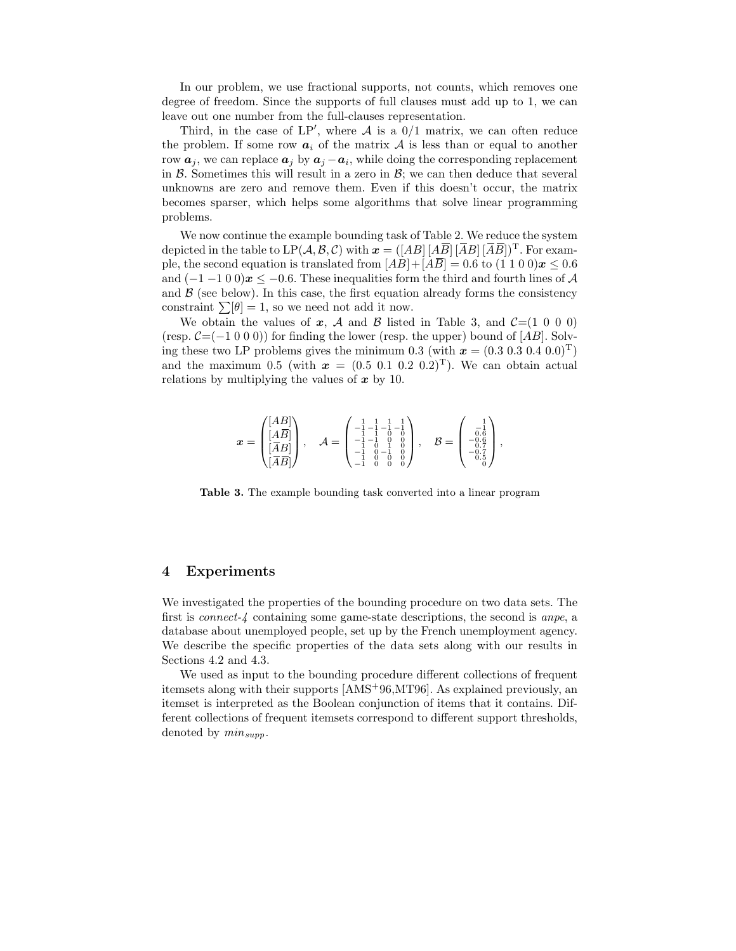In our problem, we use fractional supports, not counts, which removes one degree of freedom. Since the supports of full clauses must add up to 1, we can leave out one number from the full-clauses representation.

Third, in the case of LP', where  $A$  is a  $0/1$  matrix, we can often reduce the problem. If some row  $a_i$  of the matrix A is less than or equal to another row  $a_j$ , we can replace  $a_j$  by  $a_j - a_i$ , while doing the corresponding replacement in  $\beta$ . Sometimes this will result in a zero in  $\beta$ ; we can then deduce that several unknowns are zero and remove them. Even if this doesn't occur, the matrix becomes sparser, which helps some algorithms that solve linear programming problems.

We now continue the example bounding task of Table 2. We reduce the system depicted in the table to  $LP(\mathcal{A}, \mathcal{B}, \mathcal{C})$  with  $\mathbf{x} = (\lfloor AB \rfloor [AB] | \overline{AB} | \overline{AB}|)^T$ . For example, the second equation is translated from  $[AB]+[AB] = 0.6$  to  $(1 1 0 0)x \le 0.6$ and  $(-1 -1 0 0)x \le -0.6$ . These inequalities form the third and fourth lines of A and  $\beta$  (see below). In this case, the first equation already forms the consistency constraint  $\sum |\theta| = 1$ , so we need not add it now.

We obtain the values of x, A and B listed in Table 3, and  $C=(1\ 0\ 0\ 0)$ (resp.  $C=(-1 0 0 0)$ ) for finding the lower (resp. the upper) bound of [AB]. Solving these two LP problems gives the minimum 0.3 (with  $x = (0.3 \ 0.3 \ 0.4 \ 0.0)^T$ ) and the maximum 0.5 (with  $x = (0.5 \ 0.1 \ 0.2 \ 0.2)^T$ ). We can obtain actual relations by multiplying the values of  $x$  by 10.

$$
\boldsymbol{x} = \begin{pmatrix} [AB] \\ [AB] \\ [\overline{AB}] \\ [\overline{AB}] \\ [\overline{AB}] \end{pmatrix}, \quad \mathcal{A} = \begin{pmatrix} -\frac{1}{1} - \frac{1}{1} - \frac{1}{1} - \frac{1}{0} \\ -\frac{1}{1} - \frac{1}{0} - \frac{1}{0} \\ -\frac{1}{1} - \frac{1}{0} - \frac{1}{0} \\ -\frac{1}{1} & 0 & 0 \\ -\frac{1}{1} & 0 & 0 \\ -\frac{1}{1} & 0 & 0 \end{pmatrix}, \quad \mathcal{B} = \begin{pmatrix} -\frac{1}{1} \\ 0.6 \\ -0.6 \\ -0.7 \\ -0.5 \\ 0.5 \end{pmatrix},
$$

Table 3. The example bounding task converted into a linear program

## 4 Experiments

We investigated the properties of the bounding procedure on two data sets. The first is *connect-4* containing some game-state descriptions, the second is *anpe*, a database about unemployed people, set up by the French unemployment agency. We describe the specific properties of the data sets along with our results in Sections 4.2 and 4.3.

We used as input to the bounding procedure different collections of frequent itemsets along with their supports [AMS+96,MT96]. As explained previously, an itemset is interpreted as the Boolean conjunction of items that it contains. Different collections of frequent itemsets correspond to different support thresholds, denoted by  $min_{supp}$ .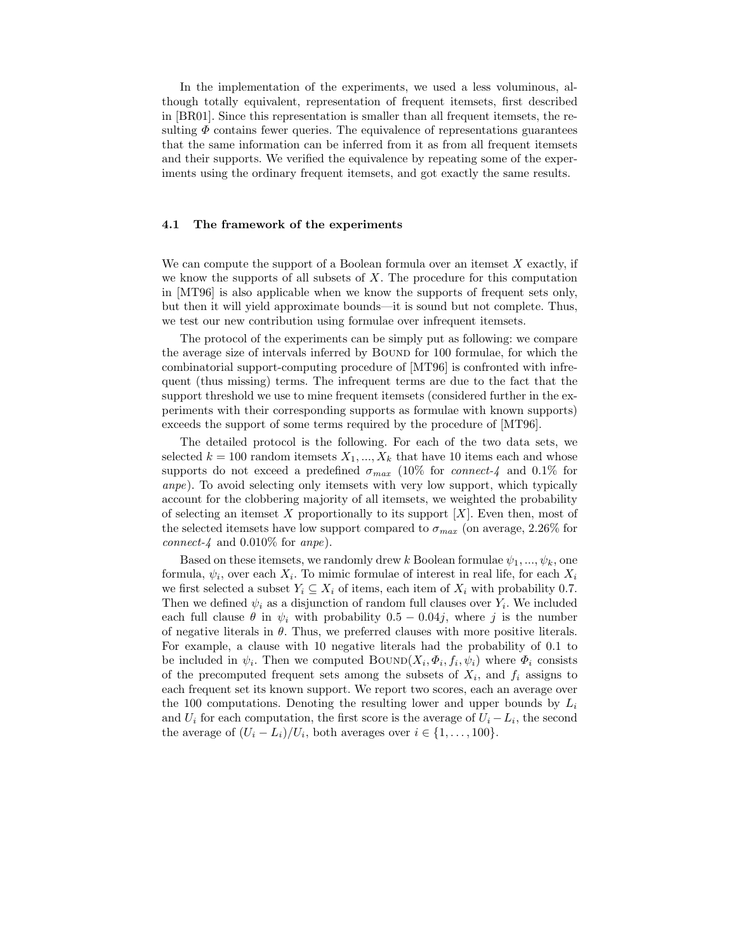In the implementation of the experiments, we used a less voluminous, although totally equivalent, representation of frequent itemsets, first described in [BR01]. Since this representation is smaller than all frequent itemsets, the resulting  $\Phi$  contains fewer queries. The equivalence of representations guarantees that the same information can be inferred from it as from all frequent itemsets and their supports. We verified the equivalence by repeating some of the experiments using the ordinary frequent itemsets, and got exactly the same results.

## 4.1 The framework of the experiments

We can compute the support of a Boolean formula over an itemset  $X$  exactly, if we know the supports of all subsets of  $X$ . The procedure for this computation in [MT96] is also applicable when we know the supports of frequent sets only, but then it will yield approximate bounds—it is sound but not complete. Thus, we test our new contribution using formulae over infrequent itemsets.

The protocol of the experiments can be simply put as following: we compare the average size of intervals inferred by Bound for 100 formulae, for which the combinatorial support-computing procedure of [MT96] is confronted with infrequent (thus missing) terms. The infrequent terms are due to the fact that the support threshold we use to mine frequent itemsets (considered further in the experiments with their corresponding supports as formulae with known supports) exceeds the support of some terms required by the procedure of [MT96].

The detailed protocol is the following. For each of the two data sets, we selected  $k = 100$  random itemsets  $X_1, ..., X_k$  that have 10 items each and whose supports do not exceed a predefined  $\sigma_{max}$  (10% for *connect-4* and 0.1% for anpe). To avoid selecting only itemsets with very low support, which typically account for the clobbering majority of all itemsets, we weighted the probability of selecting an itemset X proportionally to its support  $[X]$ . Even then, most of the selected itemsets have low support compared to  $\sigma_{max}$  (on average, 2.26% for connect- $4 \text{ and } 0.010\% \text{ for } amp$ e).

Based on these itemsets, we randomly drew k Boolean formulae  $\psi_1, ..., \psi_k$ , one formula,  $\psi_i$ , over each  $X_i$ . To mimic formulae of interest in real life, for each  $X_i$ we first selected a subset  $Y_i \subseteq X_i$  of items, each item of  $X_i$  with probability 0.7. Then we defined  $\psi_i$  as a disjunction of random full clauses over  $Y_i$ . We included each full clause  $\theta$  in  $\psi_i$  with probability  $0.5 - 0.04j$ , where j is the number of negative literals in  $\theta$ . Thus, we preferred clauses with more positive literals. For example, a clause with 10 negative literals had the probability of 0.1 to be included in  $\psi_i$ . Then we computed BOUND $(X_i, \Phi_i, f_i, \psi_i)$  where  $\Phi_i$  consists of the precomputed frequent sets among the subsets of  $X_i$ , and  $f_i$  assigns to each frequent set its known support. We report two scores, each an average over the 100 computations. Denoting the resulting lower and upper bounds by  $L_i$ and  $U_i$  for each computation, the first score is the average of  $U_i - L_i$ , the second the average of  $(U_i - L_i)/U_i$ , both averages over  $i \in \{1, ..., 100\}$ .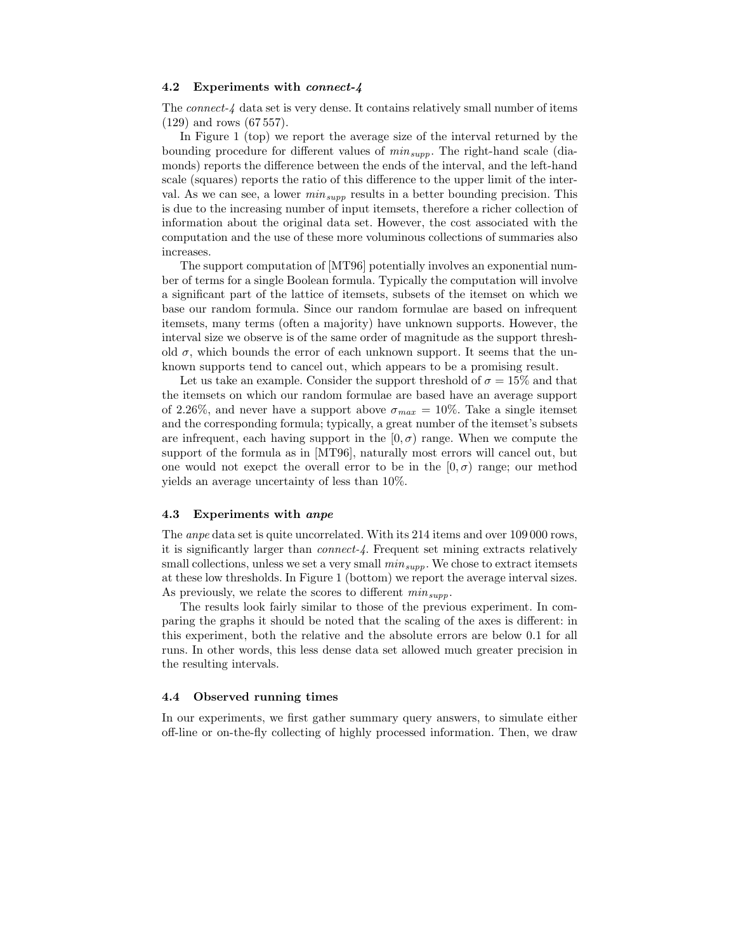### 4.2 Experiments with connect-4

The connect-4 data set is very dense. It contains relatively small number of items (129) and rows (67 557).

In Figure 1 (top) we report the average size of the interval returned by the bounding procedure for different values of  $min_{supp}$ . The right-hand scale (diamonds) reports the difference between the ends of the interval, and the left-hand scale (squares) reports the ratio of this difference to the upper limit of the interval. As we can see, a lower  $min_{supp}$  results in a better bounding precision. This is due to the increasing number of input itemsets, therefore a richer collection of information about the original data set. However, the cost associated with the computation and the use of these more voluminous collections of summaries also increases.

The support computation of [MT96] potentially involves an exponential number of terms for a single Boolean formula. Typically the computation will involve a significant part of the lattice of itemsets, subsets of the itemset on which we base our random formula. Since our random formulae are based on infrequent itemsets, many terms (often a majority) have unknown supports. However, the interval size we observe is of the same order of magnitude as the support threshold  $\sigma$ , which bounds the error of each unknown support. It seems that the unknown supports tend to cancel out, which appears to be a promising result.

Let us take an example. Consider the support threshold of  $\sigma = 15\%$  and that the itemsets on which our random formulae are based have an average support of 2.26%, and never have a support above  $\sigma_{max} = 10\%$ . Take a single itemset and the corresponding formula; typically, a great number of the itemset's subsets are infrequent, each having support in the  $[0, \sigma)$  range. When we compute the support of the formula as in [MT96], naturally most errors will cancel out, but one would not exepct the overall error to be in the  $[0, \sigma)$  range; our method yields an average uncertainty of less than 10%.

## 4.3 Experiments with anpe

The anpe data set is quite uncorrelated. With its 214 items and over 109 000 rows, it is significantly larger than connect-4. Frequent set mining extracts relatively small collections, unless we set a very small  $min_{supp}$ . We chose to extract itemsets at these low thresholds. In Figure 1 (bottom) we report the average interval sizes. As previously, we relate the scores to different  $min_{supp}$ .

The results look fairly similar to those of the previous experiment. In comparing the graphs it should be noted that the scaling of the axes is different: in this experiment, both the relative and the absolute errors are below 0.1 for all runs. In other words, this less dense data set allowed much greater precision in the resulting intervals.

#### 4.4 Observed running times

In our experiments, we first gather summary query answers, to simulate either off-line or on-the-fly collecting of highly processed information. Then, we draw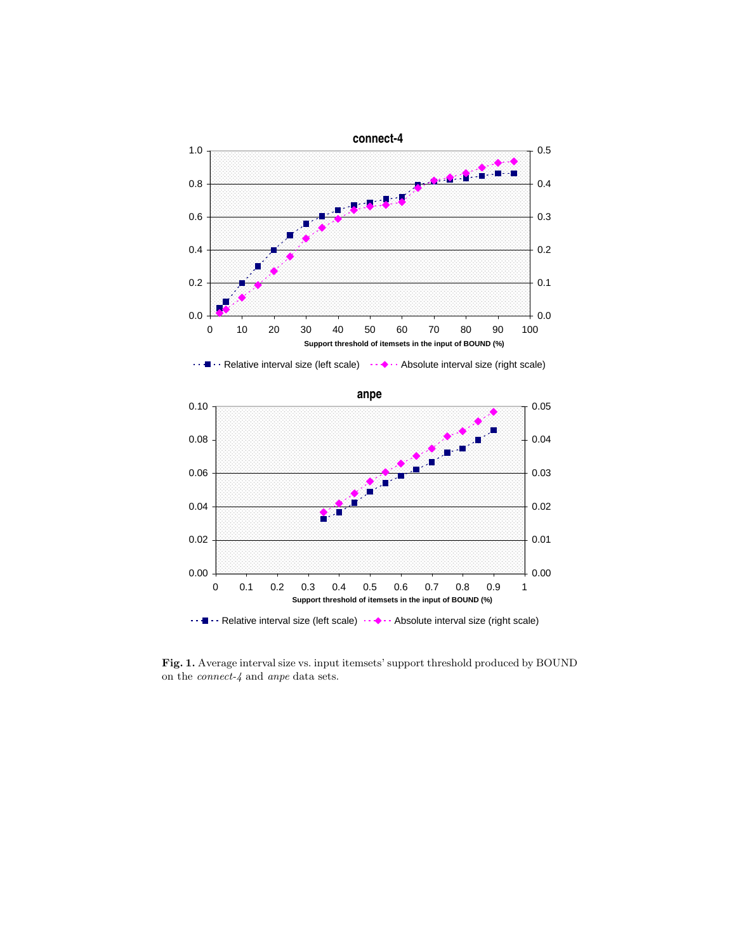

Fig. 1. Average interval size vs. input itemsets' support threshold produced by BOUND on the connect-4 and anpe data sets.

0 0.1 0.2 0.3 0.4 0.5 0.6 0.7 0.8 0.9 1

· · ■ · · Relative interval size (left scale) · · ◆ · · Absolute interval size (right scale)

**Support threshold of itemsets in the input of BOUND (%)**

0.00

0.01

0.02

0.00

0.02

0.04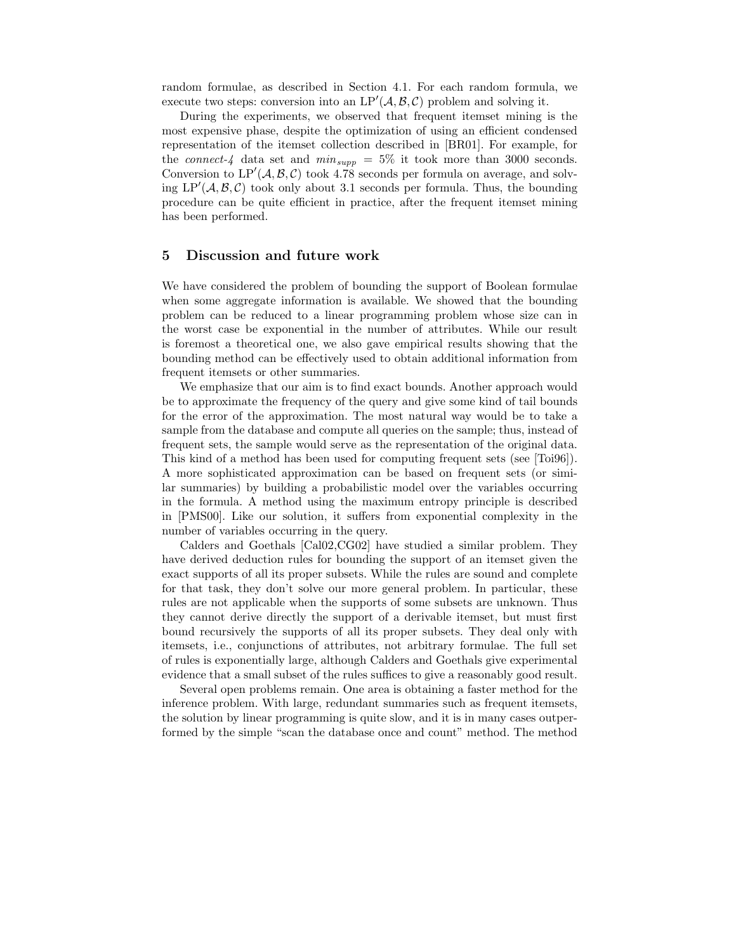random formulae, as described in Section 4.1. For each random formula, we execute two steps: conversion into an  $LP'(\mathcal{A}, \mathcal{B}, \mathcal{C})$  problem and solving it.

During the experiments, we observed that frequent itemset mining is the most expensive phase, despite the optimization of using an efficient condensed representation of the itemset collection described in [BR01]. For example, for the *connect-4* data set and  $min_{supp} = 5\%$  it took more than 3000 seconds. Conversion to  $LP'(\mathcal{A}, \mathcal{B}, \mathcal{C})$  took 4.78 seconds per formula on average, and solving  $LP'(\mathcal{A}, \mathcal{B}, \mathcal{C})$  took only about 3.1 seconds per formula. Thus, the bounding procedure can be quite efficient in practice, after the frequent itemset mining has been performed.

## 5 Discussion and future work

We have considered the problem of bounding the support of Boolean formulae when some aggregate information is available. We showed that the bounding problem can be reduced to a linear programming problem whose size can in the worst case be exponential in the number of attributes. While our result is foremost a theoretical one, we also gave empirical results showing that the bounding method can be effectively used to obtain additional information from frequent itemsets or other summaries.

We emphasize that our aim is to find exact bounds. Another approach would be to approximate the frequency of the query and give some kind of tail bounds for the error of the approximation. The most natural way would be to take a sample from the database and compute all queries on the sample; thus, instead of frequent sets, the sample would serve as the representation of the original data. This kind of a method has been used for computing frequent sets (see [Toi96]). A more sophisticated approximation can be based on frequent sets (or similar summaries) by building a probabilistic model over the variables occurring in the formula. A method using the maximum entropy principle is described in [PMS00]. Like our solution, it suffers from exponential complexity in the number of variables occurring in the query.

Calders and Goethals [Cal02,CG02] have studied a similar problem. They have derived deduction rules for bounding the support of an itemset given the exact supports of all its proper subsets. While the rules are sound and complete for that task, they don't solve our more general problem. In particular, these rules are not applicable when the supports of some subsets are unknown. Thus they cannot derive directly the support of a derivable itemset, but must first bound recursively the supports of all its proper subsets. They deal only with itemsets, i.e., conjunctions of attributes, not arbitrary formulae. The full set of rules is exponentially large, although Calders and Goethals give experimental evidence that a small subset of the rules suffices to give a reasonably good result.

Several open problems remain. One area is obtaining a faster method for the inference problem. With large, redundant summaries such as frequent itemsets, the solution by linear programming is quite slow, and it is in many cases outperformed by the simple "scan the database once and count" method. The method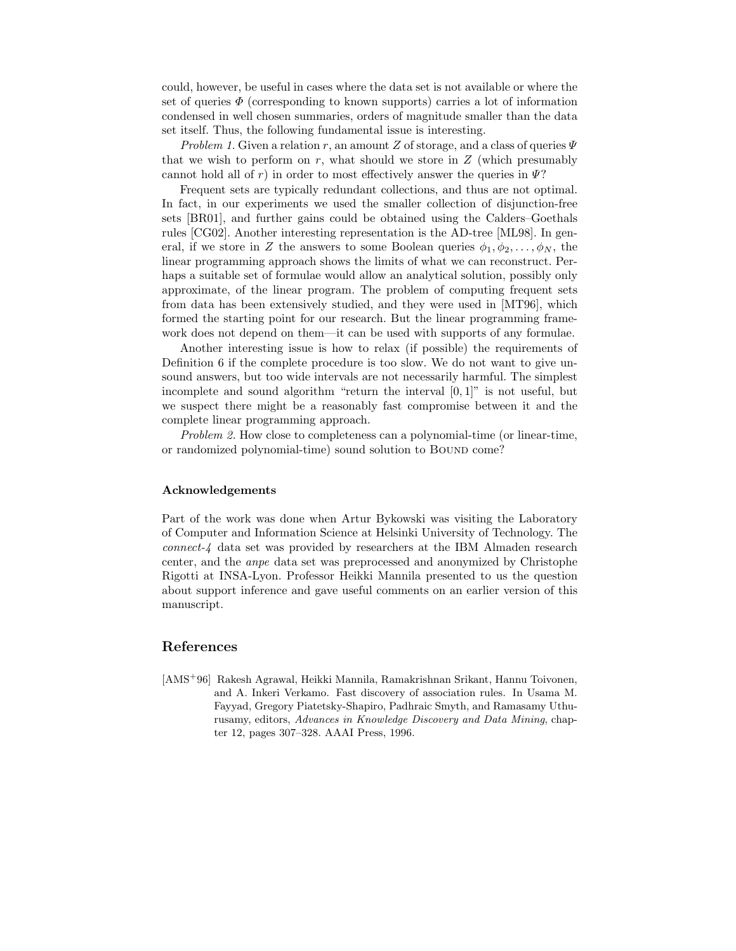could, however, be useful in cases where the data set is not available or where the set of queries  $\Phi$  (corresponding to known supports) carries a lot of information condensed in well chosen summaries, orders of magnitude smaller than the data set itself. Thus, the following fundamental issue is interesting.

Problem 1. Given a relation r, an amount Z of storage, and a class of queries  $\Psi$ that we wish to perform on r, what should we store in  $Z$  (which presumably cannot hold all of r) in order to most effectively answer the queries in  $\Psi$ ?

Frequent sets are typically redundant collections, and thus are not optimal. In fact, in our experiments we used the smaller collection of disjunction-free sets [BR01], and further gains could be obtained using the Calders–Goethals rules [CG02]. Another interesting representation is the AD-tree [ML98]. In general, if we store in Z the answers to some Boolean queries  $\phi_1, \phi_2, \ldots, \phi_N$ , the linear programming approach shows the limits of what we can reconstruct. Perhaps a suitable set of formulae would allow an analytical solution, possibly only approximate, of the linear program. The problem of computing frequent sets from data has been extensively studied, and they were used in [MT96], which formed the starting point for our research. But the linear programming framework does not depend on them—it can be used with supports of any formulae.

Another interesting issue is how to relax (if possible) the requirements of Definition 6 if the complete procedure is too slow. We do not want to give unsound answers, but too wide intervals are not necessarily harmful. The simplest incomplete and sound algorithm "return the interval  $[0, 1]$ " is not useful, but we suspect there might be a reasonably fast compromise between it and the complete linear programming approach.

Problem 2. How close to completeness can a polynomial-time (or linear-time, or randomized polynomial-time) sound solution to Bound come?

#### Acknowledgements

Part of the work was done when Artur Bykowski was visiting the Laboratory of Computer and Information Science at Helsinki University of Technology. The connect-4 data set was provided by researchers at the IBM Almaden research center, and the anpe data set was preprocessed and anonymized by Christophe Rigotti at INSA-Lyon. Professor Heikki Mannila presented to us the question about support inference and gave useful comments on an earlier version of this manuscript.

# References

[AMS<sup>+</sup>96] Rakesh Agrawal, Heikki Mannila, Ramakrishnan Srikant, Hannu Toivonen, and A. Inkeri Verkamo. Fast discovery of association rules. In Usama M. Fayyad, Gregory Piatetsky-Shapiro, Padhraic Smyth, and Ramasamy Uthurusamy, editors, Advances in Knowledge Discovery and Data Mining, chapter 12, pages 307–328. AAAI Press, 1996.